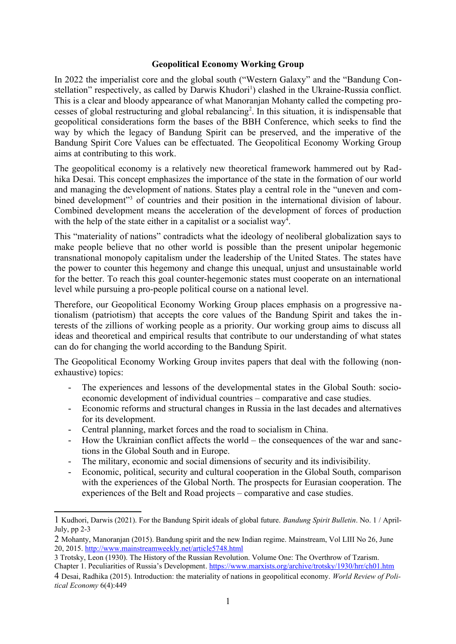## **Geopolitical Economy Working Group**

In 2022 the imperialist core and the global south ("Western Galaxy" and the "Bandung Con-stellation" respectively, as called by Darwis Khudori<sup>[1](#page-0-0)</sup>) clashed in the Ukraine-Russia conflict. This is a clear and bloody appearance of what Manoranjan Mohanty called the competing pro-cesses of global restructuring and global rebalancing<sup>[2](#page-0-1)</sup>. In this situation, it is indispensable that geopolitical considerations form the bases of the BBH Conference, which seeks to find the way by which the legacy of Bandung Spirit can be preserved, and the imperative of the Bandung Spirit Core Values can be effectuated. The Geopolitical Economy Working Group aims at contributing to this work.

The geopolitical economy is a relatively new theoretical framework hammered out by Radhika Desai. This concept emphasizes the importance of the state in the formation of our world and managing the development of nations. States play a central role in the "uneven and com-bined development"<sup>[3](#page-0-2)</sup> of countries and their position in the international division of labour. Combined development means the acceleration of the development of forces of production with the help of the state either in a capitalist or a socialist way<sup>[4](#page-0-3)</sup>.

This "materiality of nations" contradicts what the ideology of neoliberal globalization says to make people believe that no other world is possible than the present unipolar hegemonic transnational monopoly capitalism under the leadership of the United States. The states have the power to counter this hegemony and change this unequal, unjust and unsustainable world for the better. To reach this goal counter-hegemonic states must cooperate on an international level while pursuing a pro-people political course on a national level.

Therefore, our Geopolitical Economy Working Group places emphasis on a progressive nationalism (patriotism) that accepts the core values of the Bandung Spirit and takes the interests of the zillions of working people as a priority. Our working group aims to discuss all ideas and theoretical and empirical results that contribute to our understanding of what states can do for changing the world according to the Bandung Spirit.

The Geopolitical Economy Working Group invites papers that deal with the following (nonexhaustive) topics:

- The experiences and lessons of the developmental states in the Global South: socioeconomic development of individual countries – comparative and case studies.
- Economic reforms and structural changes in Russia in the last decades and alternatives for its development.
- Central planning, market forces and the road to socialism in China.
- How the Ukrainian conflict affects the world  $-$  the consequences of the war and sanctions in the Global South and in Europe.
- The military, economic and social dimensions of security and its indivisibility.
- Economic, political, security and cultural cooperation in the Global South, comparison with the experiences of the Global North. The prospects for Eurasian cooperation. The experiences of the Belt and Road projects – comparative and case studies.

<span id="page-0-0"></span><sup>1</sup> Kudhori, Darwis (2021). For the Bandung Spirit ideals of global future. *Bandung Spirit Bulletin*. No. 1 / April-July, pp 2-3

<span id="page-0-1"></span><sup>2</sup> Mohanty, Manoranjan (2015). Bandung spirit and the new Indian regime. Mainstream, Vol LIII No 26, June 20, 2015. <http://www.mainstreamweekly.net/article5748.html>

<span id="page-0-2"></span><sup>3</sup> Trotsky, Leon (1930). The History of the Russian Revolution. Volume One: The Overthrow of Tzarism.

<span id="page-0-3"></span>Chapter 1. Peculiarities of Russia's Development.<https://www.marxists.org/archive/trotsky/1930/hrr/ch01.htm> 4 Desai, Radhika (2015). Introduction: the materiality of nations in geopolitical economy. *World Review of Political Economy* 6(4):449